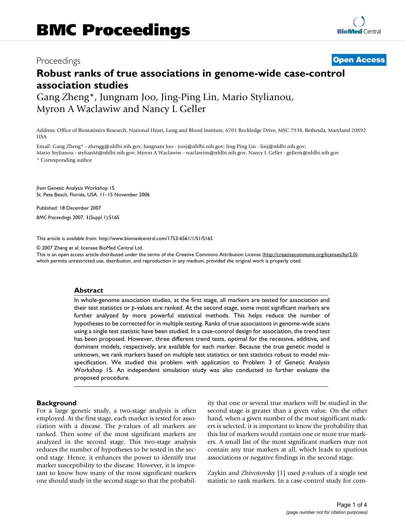## Proceedings **[Open Access](http://www.biomedcentral.com/info/about/charter/)**

# **Robust ranks of true associations in genome-wide case-control association studies**

Gang Zheng\*, Jungnam Joo, Jing-Ping Lin, Mario Stylianou, Myron A Waclawiw and Nancy L Geller

Address: Office of Biostatistics Research, National Heart, Lung and Blood Institute, 6701 Rockledge Drive, MSC 7938, Bethesda, Maryland 20892 USA

Email: Gang Zheng\* - zhengg@nhlbi.nih.gov; Jungnam Joo - jooj@nhlbi.nih.gov; Jing-Ping Lin - linj@nhlbi.nih.gov; Mario Stylianou - stylianM@nhlbi.nih.gov; Myron A Waclawiw - waclawim@nhlbi.nih.gov; Nancy L Geller - gellern@nhlbi.nih.gov \* Corresponding author

*from* Genetic Analysis Workshop 15 St. Pete Beach, Florida, USA. 11–15 November 2006

Published: 18 December 2007 *BMC Proceedings* 2007, **1**(Suppl 1):S165

[This article is available from: http://www.biomedcentral.com/1753-6561/1/S1/S165](http://www.biomedcentral.com/1753-6561/1/S1/S165)

© 2007 Zheng et al; licensee BioMed Central Ltd.

This is an open access article distributed under the terms of the Creative Commons Attribution License [\(http://creativecommons.org/licenses/by/2.0\)](http://creativecommons.org/licenses/by/2.0), which permits unrestricted use, distribution, and reproduction in any medium, provided the original work is properly cited.

#### **Abstract**

In whole-genome association studies, at the first stage, all markers are tested for association and their test statistics or *p*-values are ranked. At the second stage, some most significant markers are further analyzed by more powerful statistical methods. This helps reduce the number of hypotheses to be corrected for in multiple testing. Ranks of true associations in genome-wide scans using a single test statistic have been studied. In a case-control design for association, the trend test has been proposed. However, three different trend tests, optimal for the recessive, additive, and dominant models, respectively, are available for each marker. Because the true genetic model is unknown, we rank markers based on multiple test statistics or test statistics robust to model misspecification. We studied this problem with application to Problem 3 of Genetic Analysis Workshop 15. An independent simulation study was also conducted to further evaluate the proposed procedure.

#### **Background**

For a large genetic study, a two-stage analysis is often employed. At the first stage, each marker is tested for association with a disease. The *p*-values of all markers are ranked. Then some of the most significant markers are analyzed in the second stage. This two-stage analysis reduces the number of hypotheses to be tested in the second stage. Hence, it enhances the power to identify true marker susceptibility to the disease. However, it is important to know how many of the most significant markers one should study in the second stage so that the probability that one or several true markers will be studied in the second stage is greater than a given value. On the other hand, when a given number of the most significant markers is selected, it is important to know the probability that this list of markers would contain one or more true markers. A small list of the most significant markers may not contain any true markers at all, which leads to spurious associations or negative findings in the second stage.

Zaykin and Zhivotovsky [1] used *p*-values of a single test statistic to rank markers. In a case-control study for com-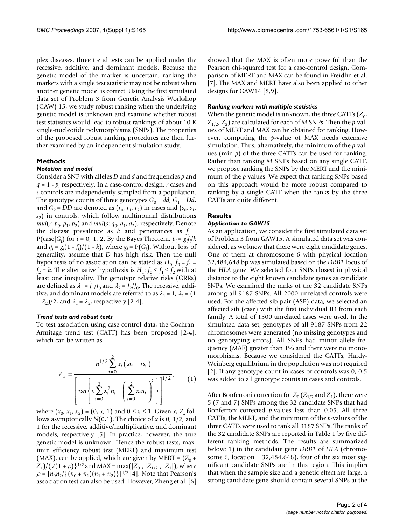plex diseases, three trend tests can be applied under the recessive, additive, and dominant models. Because the genetic model of the marker is uncertain, ranking the markers with a single test statistic may not be robust when another genetic model is correct. Using the first simulated data set of Problem 3 from Genetic Analysis Workshop (GAW) 15, we study robust ranking when the underlying genetic model is unknown and examine whether robust test statistics would lead to robust rankings of about 10 K single-nucleotide polymorphisms (SNPs). The properties of the proposed robust ranking procedures are then further examined by an independent simulation study.

#### **Methods**

#### *Notation and model*

Consider a SNP with alleles *D* and *d* and frequencies *p* and *q* = 1 - *p*, respectively. In a case-control design, *r* cases and *s* controls are independently sampled from a population. The genotype counts of three genotypes  $G_0 = dd$ ,  $G_1 = Dd$ , and *G*<sub>2</sub> = *DD* are denoted as  $(r_0, r_1, r_2)$  in cases and  $(s_0, s_1,$ *s*<sub>2</sub>) in controls, which follow multinomial distributions  $mul(r: p_0, p_1, p_2)$  and  $mul(s: q_0, q_1, q_2)$ , respectively. Denote the disease prevalence as *k* and penetrances as  $f_i =$  $P(\text{case}|\mathcal{G}_i)$  for  $i = 0, 1, 2$ . By the Bayes Theorem,  $p_i = g_i f_i / k$ and  $q_i = g_i(1 - f_i)/(1 - k)$ , where  $g_i = P(G_i)$ . Without loss of generality, assume that *D* has high risk. Then the null hypothesis of no association can be stated as  $H_0$ :  $f_0 = f_1$ *f*<sub>2</sub> = *k*. The alternative hypothesis is *H*<sub>1</sub>: *f*<sub>0</sub> ≤ *f*<sub>1</sub> ≤ *f*<sub>2</sub> with at least one inequality. The genotype relative risks (GRRs) are defined as  $\lambda_1 = f_1/f_0$  and  $\lambda_2 = f_2/f_0$ . The recessive, additive, and dominant models are referred to as  $\lambda_1 = 1$ ,  $\lambda_1 = (1$ +  $\lambda_2$ )/2, and  $\lambda_1 = \lambda_2$ , respectively [2-4].

#### *Trend tests and robust tests*

To test association using case-control data, the Cochran-Armitage trend test (CATT) has been proposed [2-4], which can be written as

$$
Z_{x} = \frac{n^{1/2} \sum_{i=0}^{2} x_{i} (sr_{i} - rs_{i})}{\left[ rsn \left\{ n \sum_{i=0}^{2} x_{i}^{2} n_{i} - \left( \sum_{i=0}^{2} x_{i} n_{i} \right)^{2} \right\} \right]^{1/2}},
$$
 (1)

where  $(x_0, x_1, x_2) = (0, x, 1)$  and  $0 \le x \le 1$ . Given *x*, *Z<sub>x</sub>* follows asymptotically *N*(0,1). The choice of *x* is 0, 1/2, and 1 for the recessive, additive/multiplicative, and dominant models, respectively [5]. In practice, however, the true genetic model is unknown. Hence the robust tests, maximin efficiency robust test (MERT) and maximum test (MAX), can be applied, which are given by MERT =  $(Z_0 +$  $Z_1$ )/{2(1 +  $\rho$ )}<sup>1/2</sup> and MAX = max(| $Z_0$ |, | $Z_{1/2}$ |, | $Z_1$ |), where  $\rho = \frac{n_0 n_2}{\{(n_0 + n_1)(n_1 + n_2)\}\}^{1/2}$  [4]. Note that Pearson's association test can also be used. However, Zheng et al. [6]

showed that the MAX is often more powerful than the Pearson chi-squared test for a case-control design. Comparison of MERT and MAX can be found in Freidlin et al. [7]. The MAX and MERT have also been applied to other designs for GAW14 [8,9].

#### *Ranking markers with multiple statistics*

When the genetic model is unknown, the three CATTs  $(Z_0, Z_0)$  $Z_{1/2}$ ,  $Z_2$ ) are calculated for each of *M* SNPs. Then the *p*-values of MERT and MAX can be obtained for ranking. However, computing the *p*-value of MAX needs extensive simulation. Thus, alternatively, the minimum of the *p*-values (min *p*) of the three CATTs can be used for ranking. Rather than ranking *M* SNPs based on any single CATT, we propose ranking the SNPs by the MERT and the minimum of the *p*-values. We expect that ranking SNPs based on this approach would be more robust compared to ranking by a single CATT when the ranks by the three CATTs are quite different.

#### **Results**

#### *Application to GAW15*

As an application, we consider the first simulated data set of Problem 3 from GAW15. A simulated data set was considered, as we knew that there were eight candidate genes. One of them at chromosome 6 with physical location 32,484,648 bp was simulated based on the *DRB1* locus of the *HLA* gene. We selected four SNPs closest in physical distance to the eight known candidate genes as candidate SNPs. We examined the ranks of the 32 candidate SNPs among all 9187 SNPs. All 2000 unrelated controls were used. For the affected sib-pair (ASP) data, we selected an affected sib (case) with the first individual ID from each family. A total of 1500 unrelated cases were used. In the simulated data set, genotypes of all 9187 SNPs from 22 chromosomes were generated (no missing genotypes and no genotyping errors). All SNPs had minor allele frequency (MAF) greater than 1% and there were no monomorphisms. Because we considered the CATTs, Hardy-Weinberg equilibrium in the population was not required [2]. If any genotype count in cases or controls was 0, 0.5 was added to all genotype counts in cases and controls.

After Bonferroni correction for  $Z_0$  ( $Z_{1/2}$  and  $Z_1$ ), there were 5 (7 and 7) SNPs among the 32 candidate SNPs that had Bonferroni-corrected *p*-values less than 0.05. All three CATTs, the MERT, and the minimum of the *p*-values of the three CATTs were used to rank all 9187 SNPs. The ranks of the 32 candidate SNPs are reported in Table 1 by five different ranking methods. The results are summarized below: 1) in the candidate gene *DRB1* of *HLA* (chromosome 6, location =  $32,484,648$ ), four of the six most significant candidate SNPs are in this region. This implies that when the sample size and a genetic effect are large, a strong candidate gene should contain several SNPs at the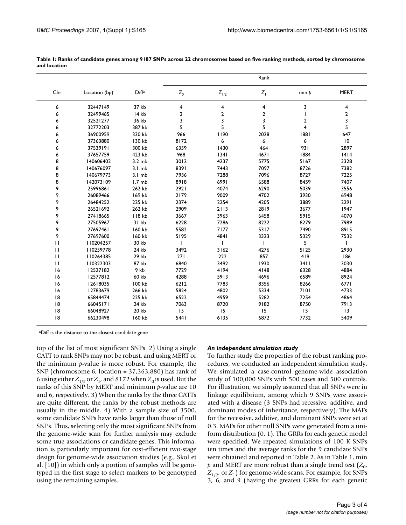| Chr          | Location (bp) | Diff <sup>a</sup> | Rank           |                         |              |                |                         |
|--------------|---------------|-------------------|----------------|-------------------------|--------------|----------------|-------------------------|
|              |               |                   | $Z_0$          | $Z_{1/2}$               | $Z_1$        | min $p$        | <b>MERT</b>             |
| 6            | 32447149      | 37 kb             | 4              | 4                       | 4            | 3              | 4                       |
| 6            | 32499465      | 14 kb             | $\overline{a}$ | $\overline{\mathbf{c}}$ | $\mathbf{2}$ |                | $\overline{\mathbf{c}}$ |
| 6            | 32521277      | 36 kb             | 3              | 3<br>5                  | 3            | $\overline{a}$ | 3                       |
| 6            | 32772203      | 387 kb            | 5              |                         | 5            | 4              | 5                       |
| 6            | 36900959      | 330 kb            | 966            | 1190                    | 2028         | 1881           | 647                     |
| 6            | 37363880      | 130 kb            | 8172           | 6                       | 6            | 6              | $\overline{10}$         |
| 6            | 37539191      | 300 kb            | 6359           | 1430                    | 464          | 931            | 2897                    |
| 6            | 37657759      | 423 kb            | 968            | 1341                    | 4671         | 1884           | 1414                    |
| 8            | 140606402     | 3.2 mb            | 3012           | 4237                    | 5775         | 5167           | 3328                    |
| 8            | 140676097     | 3.1 mb            | 8391           | 7443                    | 7097         | 8726           | 7382                    |
| 8            | 140679773     | 3.1 mb            | 7936           | 7288                    | 7096         | 8727           | 7225                    |
| 8            | 142073109     | 1.7 <sub>mb</sub> | 8918           | 6991                    | 6588         | 8459           | 7407                    |
| 9            | 25996861      | 262 kb            | 2921           | 4074                    | 6290         | 5039           | 3556                    |
| 9            | 26089466      | 169 kb            | 2179           | 9009                    | 4702         | 3930           | 6948                    |
| 9            | 26484252      | 225 kb            | 2374           | 2254                    | 4205         | 3889           | 2291                    |
| 9            | 26521692      | 262 kb            | 2909           | 2113                    | 2819         | 3677           | 1947                    |
| 9            | 27418665      | 118 kb            | 3667           | 3963                    | 6458         | 5915           | 4070                    |
| 9            | 27505967      | 31 kb             | 6228           | 7286                    | 8222         | 8279           | 7989                    |
| 9            | 27697461      | 160 kb            | 5582           | 7177                    | 5317         | 7490           | 8915                    |
| 9            | 27697600      | 160 kb            | 5195           | 4841                    | 3323         | 5329           | 7532                    |
| $\mathbf{H}$ | II0204257     | 30 kb             |                | $\mathbf{I}$            |              | 5              | $\mathbf{L}$            |
| $\mathbf{H}$ | 110259778     | 24 kb             | 3492           | 3162                    | 4276         | 5125           | 2930                    |
| $\mathbf{H}$ | 110264385     | 29 kb             | 271            | 222                     | 857          | 419            | 186                     |
| $\mathbf{H}$ | 110322303     | 87 kb             | 6840           | 3492                    | 1930         | 3411           | 3030                    |
| 16           | 12527182      | 9 kb              | 7729           | 4194                    | 4148         | 6328           | 4884                    |
| 16           | 12577812      | 60 kb             | 4288           | 5913                    | 4696         | 6589           | 8924                    |
| 16           | 12618035      | 100 kb            | 6212           | 7783                    | 8356         | 8266           | 6771                    |
| 16           | 12783679      | 266 kb            | 5824           | 4802                    | 5334         | 7101           | 4733                    |
| 8            | 65844474      | 225 kb            | 6522           | 4959                    | 5282         | 7254           | 4864                    |
| 8            | 66045171      | 24 kb             | 7063           | 8720                    | 9182         | 8750           | 7913                    |
| 8            | 66048927      | 20 kb             | 15             | 15                      | 15           | 15             | 13                      |
| 18           | 66230498      | 160 kb            | 544 I          | 6135                    | 6872         | 7732           | 5409                    |

**Table 1: Ranks of candidate genes among 9187 SNPs across 22 chromosomes based on five ranking methods, sorted by chromosome and location**

aDiff is the distance to the closest candidate gene

top of the list of most significant SNPs. 2) Using a single CATT to rank SNPs may not be robust, and using MERT or the minimum *p*-value is more robust. For example, the SNP (chromosome 6, location = 37,363,880) has rank of 6 using either  $Z_{1/2}$  or  $Z_1$ , and 8172 when  $Z_0$  is used. But the ranks of this SNP by MERT and minimum *p*-value are 10 and 6, respectively. 3) When the ranks by the three CATTs are quite different, the ranks by the robust methods are usually in the middle. 4) With a sample size of 3500, some candidate SNPs have ranks larger than those of null SNPs. Thus, selecting only the most significant SNPs from the genome-wide scan for further analysis may exclude some true associations or candidate genes. This information is particularly important for cost-efficient two-stage design for genome-wide association studies (e.g., Skol et al. [10]) in which only a portion of samples will be genotyped in the first stage to select markers to be genotyped using the remaining samples.

#### *An independent simulation study*

To further study the properties of the robust ranking procedures, we conducted an independent simulation study. We simulated a case-control genome-wide association study of 100,000 SNPs with 500 cases and 500 controls. For illustration, we simply assumed that all SNPs were in linkage equilibrium, among which 9 SNPs were associated with a disease (3 SNPs had recessive, additive, and dominant modes of inheritance, respectively). The MAFs for the recessive, additive, and dominant SNPs were set at 0.3. MAFs for other null SNPs were generated from a uniform distribution (0, 1). The GRRs for each genetic model were specified. We repeated simulations of 100 K SNPs ten times and the average ranks for the 9 candidate SNPs were obtained and reported in Table 2. As in Table 1, min  $p$  and MERT are more robust than a single trend test  $(Z_0,$  $Z_{1/2}$ , or  $Z_1$ ) for genome-wide scans. For example, for SNPs 3, 6, and 9 (having the greatest GRRs for each genetic